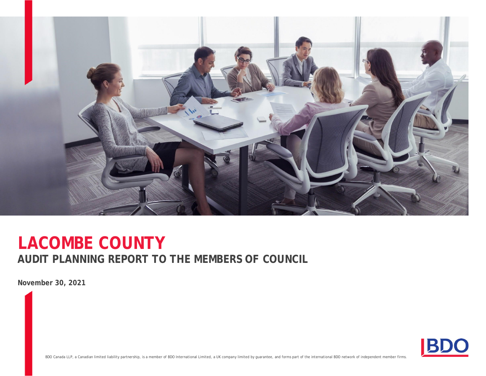

# **AUDIT PLANNING REPORT TO THE MEMBERS OF COUNCIL LACOMBE COUNTY**

**November 30, 2021**



BDO Canada LLP, a Canadian limited liability partnership, is a member of BDO International Limited, a UK company limited by guarantee, and forms part of the international BDO network of independent member firms.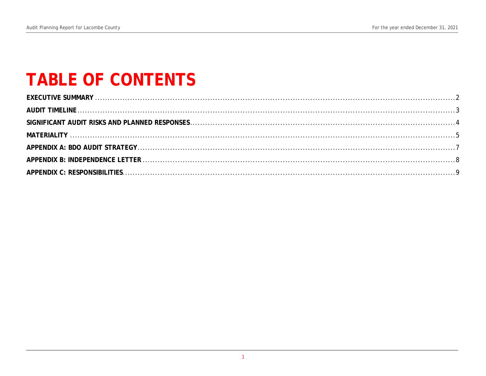# **TABLE OF CONTENTS**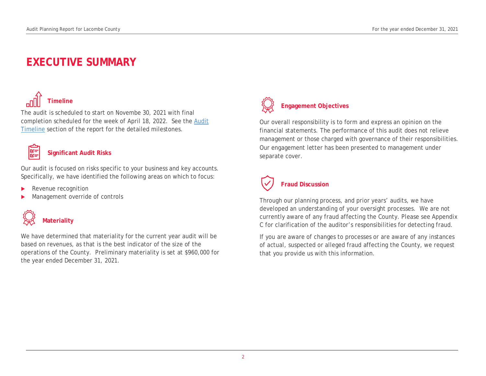## **EXECUTIVE SUMMARY**

# **Timeline**

The audit is scheduled to start on Novembe 30, 2021 with final completion scheduled for the week of April 18, 2022. See the Audit Timeline section of the report for the detailed milestones.



#### **Significant Audit Risks**

Our audit is focused on risks specific to your business and key accounts. Specifically, we have identified the following areas on which to focus:

- Revenue recognition
- Management override of controls



We have determined that materiality for the current year audit will be based on revenues, as that is the best indicator of the size of the operations of the County. Preliminary materiality is set at \$960,000 for the year ended December 31, 2021.



## **Engagement Objectives**

Our overall responsibility is to form and express an opinion on the financial statements. The performance of this audit does not relieve management or those charged with governance of their responsibilities. Our engagement letter has been presented to management under separate cover.

# **Fraud Discussion**

Through our planning process, and prior years' audits, we have developed an understanding of your oversight processes. We are not currently aware of any fraud affecting the County. Please see Appendix C for clarification of the auditor's responsibilities for detecting fraud.

If you are aware of changes to processes or are aware of any instances of actual, suspected or alleged fraud affecting the County, we request that you provide us with this information.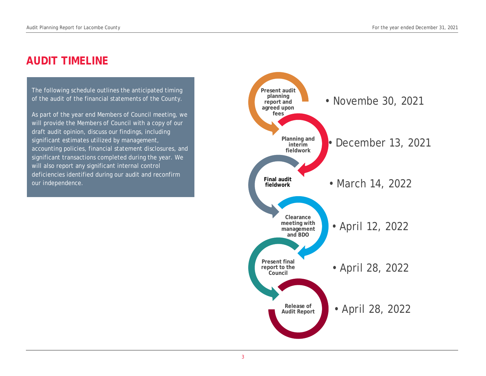## **AUDIT TIMELINE**

The following schedule outlines the anticipated timing of the audit of the financial statements of the County.

As part of the year end Members of Council meeting, we will provide the Members of Council with a copy of our draft audit opinion, discuss our findings, including significant estimates utilized by management, accounting policies, financial statement disclosures, and significant transactions completed during the year. We will also report any significant internal control deficiencies identified during our audit and reconfirm our independence.

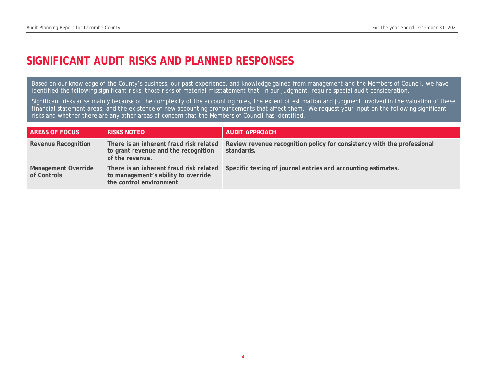## **SIGNIFICANT AUDIT RISKS AND PLANNED RESPONSES**

Based on our knowledge of the County's business, our past experience, and knowledge gained from management and the Members of Council, we have identified the following significant risks; those risks of material misstatement that, in our judgment, require special audit consideration.

Significant risks arise mainly because of the complexity of the accounting rules, the extent of estimation and judgment involved in the valuation of these financial statement areas, and the existence of new accounting pronouncements that affect them. We request your input on the following significant risks and whether there are any other areas of concern that the Members of Council has identified.

| AREAS OF FOCUS                     | <b>RISKS NOTED</b>                                                                                         | AUDIT APPROACH                                                                        |
|------------------------------------|------------------------------------------------------------------------------------------------------------|---------------------------------------------------------------------------------------|
| Revenue Recognition                | There is an inherent fraud risk related<br>to grant revenue and the recognition<br>of the revenue.         | Review revenue recognition policy for consistency with the professional<br>standards. |
| Management Override<br>of Controls | There is an inherent fraud risk related<br>to management's ability to override<br>the control environment. | Specific testing of journal entries and accounting estimates.                         |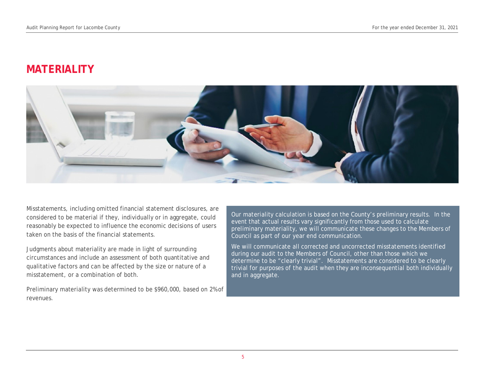## **MATERIALITY**



Misstatements, including omitted financial statement disclosures, are considered to be material if they, individually or in aggregate, could reasonably be expected to influence the economic decisions of users taken on the basis of the financial statements.

Judgments about materiality are made in light of surrounding circumstances and include an assessment of both quantitative and qualitative factors and can be affected by the size or nature of a misstatement, or a combination of both.

Preliminary materiality was determined to be \$960,000, based on 2% of revenues.

Our materiality calculation is based on the County's preliminary results. In the event that actual results vary significantly from those used to calculate preliminary materiality, we will communicate these changes to the Members of Council as part of our year end communication.

We will communicate all corrected and uncorrected misstatements identified during our audit to the Members of Council, other than those which we determine to be "clearly trivial". Misstatements are considered to be clearly trivial for purposes of the audit when they are inconsequential both individually and in aggregate.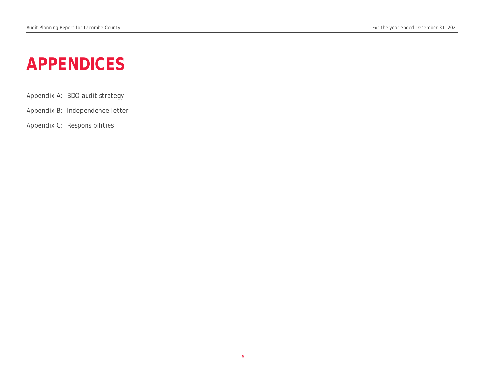# **APPENDICES**

- Appendix A: BDO audit strategy
- Appendix B: Independence letter
- Appendix C: Responsibilities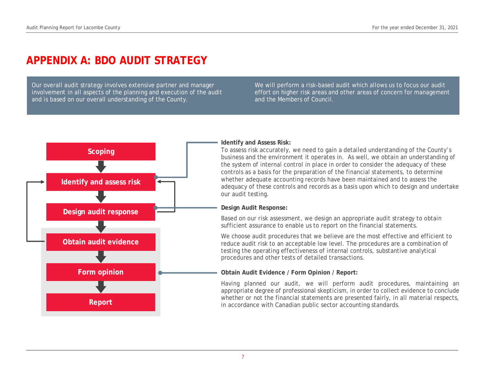## **APPENDIX A: BDO AUDIT STRATEGY**

Our overall audit strategy involves extensive partner and manager involvement in all aspects of the planning and execution of the audit and is based on our overall understanding of the County.

We will perform a risk-based audit which allows us to focus our audit effort on higher risk areas and other areas of concern for management and the Members of Council.



#### **Identify and Assess Risk:**

To assess risk accurately, we need to gain a detailed understanding of the County's business and the environment it operates in. As well, we obtain an understanding of the system of internal control in place in order to consider the adequacy of these controls as a basis for the preparation of the financial statements, to determine whether adequate accounting records have been maintained and to assess the adequacy of these controls and records as a basis upon which to design and undertake our audit testing.

**Design Audit Response:**

Based on our risk assessment, we design an appropriate audit strategy to obtain sufficient assurance to enable us to report on the financial statements.

We choose audit procedures that we believe are the most effective and efficient to reduce audit risk to an acceptable low level. The procedures are a combination of testing the operating effectiveness of internal controls, substantive analytical procedures and other tests of detailed transactions.

**Obtain Audit Evidence / Form Opinion / Report:**

Having planned our audit, we will perform audit procedures, maintaining an appropriate degree of professional skepticism, in order to collect evidence to conclude whether or not the financial statements are presented fairly, in all material respects, in accordance with Canadian public sector accounting standards.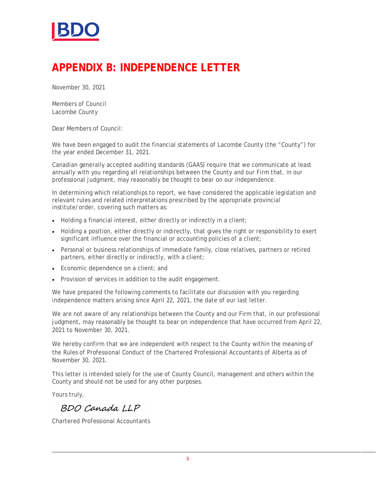

## **APPENDIX B: INDEPENDENCE LETTER**

November 30, 2021

Members of Council Lacombe County

Dear Members of Council:

We have been engaged to audit the financial statements of Lacombe County (the "County") for the year ended December 31, 2021.

Canadian generally accepted auditing standards (GAAS) require that we communicate at least annually with you regarding all relationships between the County and our Firm that, in our professional judgment, may reasonably be thought to bear on our independence.

In determining which relationships to report, we have considered the applicable legislation and relevant rules and related interpretations prescribed by the appropriate provincial institute/order, covering such matters as:

- Holding a financial interest, either directly or indirectly in a client;
- Holding a position, either directly or indirectly, that gives the right or responsibility to exert significant influence over the financial or accounting policies of a client;
- Personal or business relationships of immediate family, close relatives, partners or retired partners, either directly or indirectly, with a client;
- Economic dependence on a client; and
- Provision of services in addition to the audit engagement.

We have prepared the following comments to facilitate our discussion with you regarding independence matters arising since April 22, 2021, the date of our last letter.

We are not aware of any relationships between the County and our Firm that, in our professional judgment, may reasonably be thought to bear on independence that have occurred from April 22, 2021 to November 30, 2021.

We hereby confirm that we are independent with respect to the County within the meaning of the Rules of Professional Conduct of the Chartered Professional Accountants of Alberta as of November 30, 2021.

This letter is intended solely for the use of County Council, management and others within the County and should not be used for any other purposes.

Yours truly,

BDO Canada LLP

Chartered Professional Accountants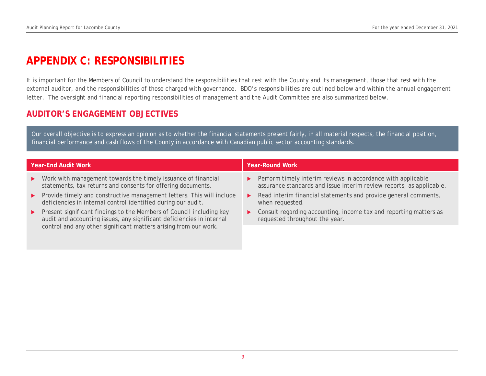## **APPENDIX C: RESPONSIBILITIES**

It is important for the Members of Council to understand the responsibilities that rest with the County and its management, those that rest with the external auditor, and the responsibilities of those charged with governance. BDO's responsibilities are outlined below and within the annual engagement letter. The oversight and financial reporting responsibilities of management and the Audit Committee are also summarized below.

### **AUDITOR'S ENGAGEMENT OBJECTIVES**

Our overall objective is to express an opinion as to whether the financial statements present fairly, in all material respects, the financial position, financial performance and cash flows of the County in accordance with Canadian public sector accounting standards.

| Year-End Audit Work |                                                                                                                                                 |                       | Year-Round Work                                                                                                                                       |  |  |
|---------------------|-------------------------------------------------------------------------------------------------------------------------------------------------|-----------------------|-------------------------------------------------------------------------------------------------------------------------------------------------------|--|--|
|                     | $\triangleright$ Work with management towards the timely issuance of financial<br>statements, tax returns and consents for offering documents.  |                       | $\triangleright$ Perform timely interim reviews in accordance with applicable<br>assurance standards and issue interim review reports, as applicable. |  |  |
|                     | ▶ Provide timely and constructive management letters. This will include<br>deficiencies in internal control identified during our audit.        |                       | $\triangleright$ Read interim financial statements and provide general comments,<br>when requested.                                                   |  |  |
|                     | ▶ Present significant findings to the Members of Council including key<br>audit and accounting issues, any significant deficiencies in internal | $\blacktriangleright$ | Consult regarding accounting, income tax and reporting matters as<br>requested throughout the year.                                                   |  |  |
|                     | control and any other significant matters arising from our work.                                                                                |                       |                                                                                                                                                       |  |  |
|                     |                                                                                                                                                 |                       |                                                                                                                                                       |  |  |